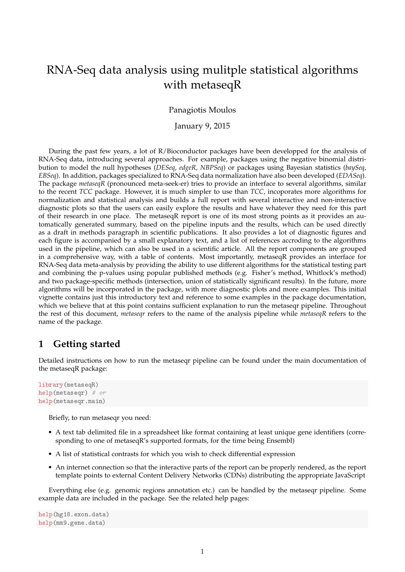# RNA-Seq data analysis using mulitple statistical algorithms with metaseqR

#### Panagiotis Moulos

#### January 9, 2015

During the past few years, a lot of R/Bioconductor packages have been developped for the analysis of RNA-Seq data, introducing several approaches. For example, packages using the negative binomial distribution to model the null hypotheses (*DESeq*, *edgeR*, *NBPSeq*) or packages using Bayesian statistics (*baySeq*, *EBSeq*). In addition, packages specialized to RNA-Seq data normalization have also been developed (*EDASeq*). The package *metaseqR* (pronounced meta-seek-er) tries to provide an interface to several algorithms, similar to the recent *TCC* package. However, it is much simpler to use than *TCC*, incoporates more algorithms for normalization and statistical analysis and builds a full report with several interactive and non-interactive diagnostic plots so that the users can easily explore the results and have whatever they need for this part of their research in one place. The metaseqR report is one of its most strong points as it provides an automatically generated summary, based on the pipeline inputs and the results, which can be used directly as a draft in methods paragraph in scientific publications. It also provides a lot of diagnostic figures and each figure is accompanied by a small explanatory text, and a list of references accroding to the algorithms used in the pipeline, which can also be used in a scientific article. All the report components are grouped in a comprehensive way, with a table of contents. Most importantly, metaseqR provides an interface for RNA-Seq data meta-analysis by providing the ability to use different algorithms for the statistical testing part and combining the p-values using popular published methods (e.g. Fisher's method, Whitlock's method) and two package-specific methods (intersection, union of statistically significant results). In the future, more algorithms will be incorporated in the package, with more diagnostic plots and more examples. This initial vignette contains just this introductory text and reference to some examples in the package documentation, which we believe that at this point contains sufficient explanation to run the metaseqr pipeline. Throughout the rest of this document, *metaseqr* refers to the name of the analysis pipeline while *metaseqR* refers to the name of the package.

# **1 Getting started**

Detailed instructions on how to run the metaseqr pipeline can be found under the main documentation of the metaseqR package:

```
library(metaseqR)
help(metaseqr) # or
help(metaseqr.main)
```
Briefly, to run metaseqr you need:

- A text tab delimited file in a spreadsheet like format containing at least unique gene identifiers (corresponding to one of metaseqR's supported formats, for the time being Ensembl)
- A list of statistical contrasts for which you wish to check differential expression
- An internet connection so that the interactive parts of the report can be properly rendered, as the report template points to external Content Delivery Networks (CDNs) distributing the appropriate JavaScript

Everything else (e.g. genomic regions annotation etc.) can be handled by the metaseqr pipeline. Some example data are included in the package. See the related help pages:

```
help(hg18.exon.data)
help(mm9.gene.data)
```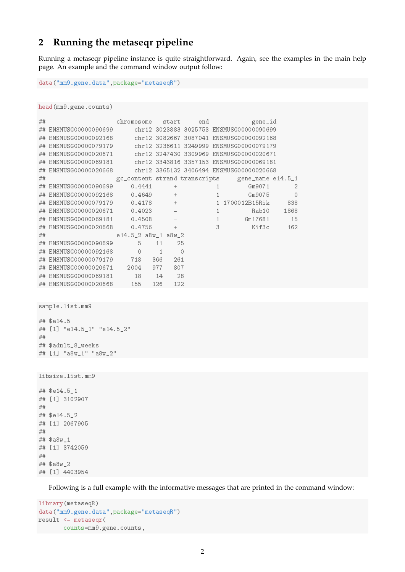# **2 Running the metaseqr pipeline**

Running a metaseqr pipeline instance is quite straightforward. Again, see the examples in the main help page. An example and the command window output follow:

```
data("mm9.gene.data",package="metaseqR")
```
head(mm9.gene.counts)

| ## |                                                             | chromosome          | start                                                     | end     |              | gene_id                                         |                |
|----|-------------------------------------------------------------|---------------------|-----------------------------------------------------------|---------|--------------|-------------------------------------------------|----------------|
| ## | ENSMUSG00000090699                                          |                     |                                                           |         |              | chr12 3023883 3025753 ENSMUSG00000090699        |                |
| ## | ENSMUSG00000092168 chr12 3082667 3087041 ENSMUSG00000092168 |                     |                                                           |         |              |                                                 |                |
| ## | ENSMUSG00000079179 chr12 3236611 3249999 ENSMUSG00000079179 |                     |                                                           |         |              |                                                 |                |
| ## | ENSMUSG00000020671 chr12 3247430 3309969 ENSMUSG00000020671 |                     |                                                           |         |              |                                                 |                |
| ## | ENSMUSG00000069181 chr12 3343816 3357153 ENSMUSG00000069181 |                     |                                                           |         |              |                                                 |                |
| ## | ENSMUSG00000020668 chr12 3365132 3406494 ENSMUSG00000020668 |                     |                                                           |         |              |                                                 |                |
| ## |                                                             |                     |                                                           |         |              | gc_content strand transcripts gene_name e14.5_1 |                |
| ## | ENSMUSG00000090699                                          | 0.4441              | $+$                                                       |         | $\mathbf{1}$ | Gm9071                                          | $\mathfrak{D}$ |
| ## | ENSMUSG00000092168 0.4649                                   |                     | $+$                                                       |         | $\mathbf{1}$ | Gm9075                                          | $\circ$        |
| ## | ENSMUSG00000079179 0.4178                                   |                     | $\sim$ 100 $\pm$                                          |         |              | 1 1700012B15Rik 838                             |                |
| ## | ENSMUSG00000020671 0.4023                                   |                     | $\mathcal{L}^{\text{max}}$ and $\mathcal{L}^{\text{max}}$ |         | $\mathbf{1}$ | Rab10                                           | 1868           |
| ## | ENSMUSG00000069181 0.4508                                   |                     | $\sim 10^{11}$ m $^{-1}$                                  |         | $\sim$ 1     | Gm17681                                         | 15             |
| ## | ENSMUSG00000020668                                          | 0.4756              | $+$                                                       |         | 3            | Kif3c                                           | 162            |
| ## |                                                             | e14.5 2 a8w 1 a8w 2 |                                                           |         |              |                                                 |                |
| ## | ENSMUSG00000090699                                          | $5 - 5$             | 11                                                        | 25      |              |                                                 |                |
| ## | ENSMUSG00000092168                                          | $\mathcal{O}$       | $\mathbf{1}$                                              | $\circ$ |              |                                                 |                |
| ## | ENSMUSG00000079179                                          | 718                 | 366<br>261                                                |         |              |                                                 |                |
| ## | ENSMUSG00000020671 2004 977                                 |                     | 807                                                       |         |              |                                                 |                |
| ## | ENSMUSG00000069181                                          | 18 14               | 28                                                        |         |              |                                                 |                |
|    | ## ENSMUSG00000020668 155 126                               |                     | 122                                                       |         |              |                                                 |                |

sample.list.mm9

## \$e14.5 ## [1] "e14.5\_1" "e14.5\_2" ## ## \$adult\_8\_weeks ## [1] "a8w\_1" "a8w\_2"

```
libsize.list.mm9
```
## \$e14.5\_1 ## [1] 3102907 ## ## \$e14.5\_2 ## [1] 2067905 ## ## \$a8w\_1 ## [1] 3742059 ## ## \$a8w\_2 ## [1] 4403954

Following is a full example with the informative messages that are printed in the command window:

```
library(metaseqR)
data("mm9.gene.data",package="metaseqR")
result <- metaseqr(
counts=mm9.gene.counts,
```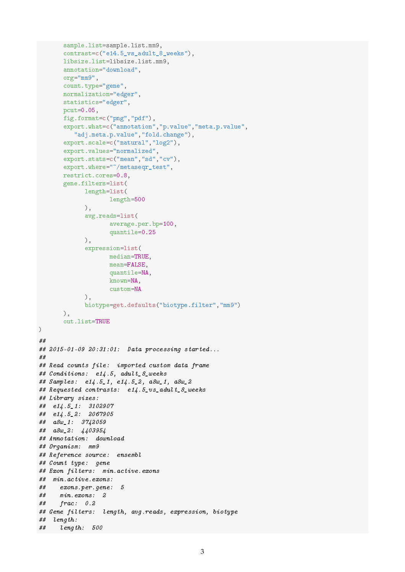```
sample.list=sample.list.mm9,
       contrast=c("e14.5_vs_adult_8_weeks"),
       libsize.list=libsize.list.mm9,
       annotation="download",
       org="mm9",
       count.type="gene",
      normalization="edger",
       statistics="edger",
      pcut=0.05,
      fig.format=c("png","pdf"),
       export.what=c("annotation","p.value","meta.p.value",
         "adj.meta.p.value","fold.change"),
       export.scale=c("natural","log2"),
       export.values="normalized",
       export.stats=c("mean","sd","cv"),
       export.where="~/metaseqr_test",
       restrict.cores=0.8,
      gene.filters=list(
            length=list(
                   length=500
             ),
             avg.reads=list(
                    average.per.bp=100,
                   quantile=0.25
            ),
             expression=list(
                   median=TRUE,
                   mean=FALSE,
                   quantile=NA,
                   known=NA,
                    custom=NA
            ),
            biotype=get.defaults("biotype.filter","mm9")
      ),
       out.list=TRUE
)
##
## 2015-01-09 20:31:01: Data processing started...
##
## Read counts file: imported custom data frame
## Conditions: e14.5, adult_8_weeks
## Samples: e14.5_1, e14.5_2, a8w_1, a8w_2
## Requested contrasts: e14.5_vs_adult_8_weeks
## Library sizes:
## e14.5_1: 3102907
## e14.5_2: 2067905
## a8w_1: 3742059
## a8w_2: 4403954
## Annotation: download
## Organism: mm9
## Reference source: ensembl
## Count type: gene
## Exon filters: min.active.exons
## min.active.exons:
## exons.per.gene: 5
## min.exons: 2
## frac: 0.2
## Gene filters: length, avg.reads, expression, biotype
## length:
## length: 500
```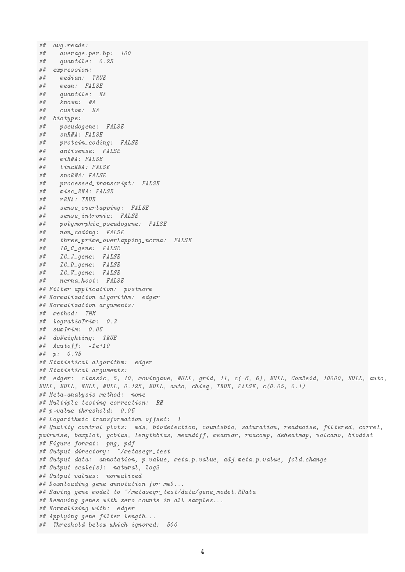## avg.reads: ## average.per.bp: 100 ## quantile: 0.25 ## expression: ## median: TRUE ## mean: FALSE ## quantile: NA known: NA ## custom: NA ## biotype: ## pseudogene: FALSE ## snRNA: FALSE ## protein\_coding: FALSE ## antisense: FALSE ## miRNA: FALSE ## lincRNA: FALSE ## snoRNA: FALSE ## processed\_transcript: FALSE ## misc\_RNA: FALSE ## rRNA: TRUE ## sense\_overlapping: FALSE ## sense\_intronic: FALSE ## polymorphic\_pseudogene: FALSE ## non\_coding: FALSE ## three\_prime\_overlapping\_ncrna: FALSE ## IG\_C\_gene: FALSE ## IG\_J\_gene: FALSE ## IG\_D\_gene: FALSE ## IG\_V\_gene: FALSE ## ncrna\_host: FALSE ## Filter application: postnorm ## Normalization algorithm: edger ## Normalization arguments: ## method: TMM ## logratioTrim: 0.3 ## sumTrim: 0.05 ## doWeighting: TRUE ##  $\textit{Acutoff:}$  -1e+10 ## p: 0.75 ## Statistical algorithm: edger ## Statistical arguments: ## edger: classic, 5, 10, movingave, NULL, grid, 11, c(-6, 6), NULL, CoxReid, 10000, NULL, auto, NULL, NULL, NULL, NULL, 0.125, NULL, auto, chisq, TRUE, FALSE, c(0.05, 0.1) ## Meta-analysis method: none ## Multiple testing correction: BH ## p-value threshold: 0.05 ## Logarithmic transformation offset: 1 ## Quality control plots: mds, biodetection, countsbio, saturation, readnoise, filtered, correl, pairwise, boxplot, gcbias, lengthbias, meandiff, meanvar, rnacomp, deheatmap, volcano, biodist ## Figure format: png, pdf ## Output directory: ~/metaseqr\_test ## Output data: annotation, p.value, meta.p.value, adj.meta.p.value, fold.change ## Output scale(s): natural, log2 ## Output values: normalized ## Downloading gene annotation for mm9... ## Saving gene model to ~/metaseqr\_test/data/gene\_model.RData ## Removing genes with zero counts in all samples... ## Normalizing with: edger ## Applying gene filter length... ## Threshold below which ignored: 500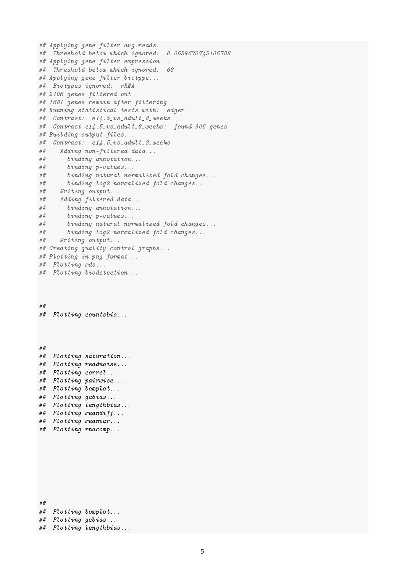```
## Applying gene filter avg.reads...
## Threshold below which ignored: 0.0659670745106788
## Applying gene filter expression...
## Threshold below which ignored: 68
## Applying gene filter biotype...
## Biotypes ignored: rRNA
## 2106 genes filtered out
## 1681 genes remain after filtering
## Running statistical tests with: edger
## Contrast: e14.5_vs_adult_8_weeks
## Contrast e14.5_vs_adult_8_weeks: found 906 genes
## Building output files...
## Contrast: e14.5_vs_adult_8_weeks
## Adding non-filtered data...
## binding annotation...
## binding p-values...
## binding natural normalized fold changes...
## binding log2 normalized fold changes...
## Writing output...
## Adding filtered data...
## binding annotation...
## binding p-values...
## binding natural normalized fold changes...
## binding log2 normalized fold changes...
## Writing output...
## Creating quality control graphs...
## Plotting in png format...
## Plotting mds...
## Plotting biodetection...
##
## Plotting countsbio...
##
## Plotting saturation...
## Plotting readnoise...
## Plotting correl...
## Plotting pairwise...
## Plotting boxplot...
## Plotting gcbias...
## Plotting lengthbias...
## Plotting meandiff...
## Plotting meanvar...
## Plotting rnacomp...
##
## Plotting boxplot...
## Plotting gcbias...
```

```
## Plotting lengthbias...
```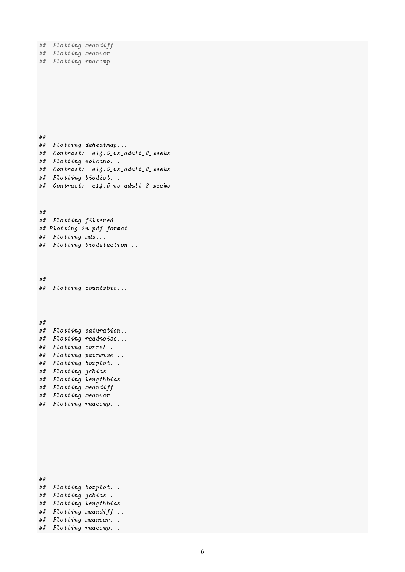```
## Plotting meandiff...
## Plotting meanvar...
## Plotting rnacomp...
##
## Plotting deheatmap...
## Contrast: e14.5_vs_adult_8_weeks
## Plotting volcano...
## Contrast: e14.5_vs_adult_8_weeks
## Plotting biodist...
## Contrast: e14.5_vs_adult_8_weeks
##
## Plotting filtered...
## Plotting in pdf format...
## Plotting mds...
## Plotting biodetection...
##
## Plotting countsbio...
##
## Plotting saturation...
## Plotting readnoise...
## Plotting correl...
## Plotting pairwise...
## Plotting boxplot...
## Plotting gcbias...
## Plotting lengthbias...
## Plotting meandiff...
## Plotting meanvar...
## Plotting rnacomp...
##
## Plotting boxplot...
## Plotting gcbias...
## Plotting lengthbias...
## Plotting meandiff...
## Plotting meanvar...
## Plotting rnacomp...
```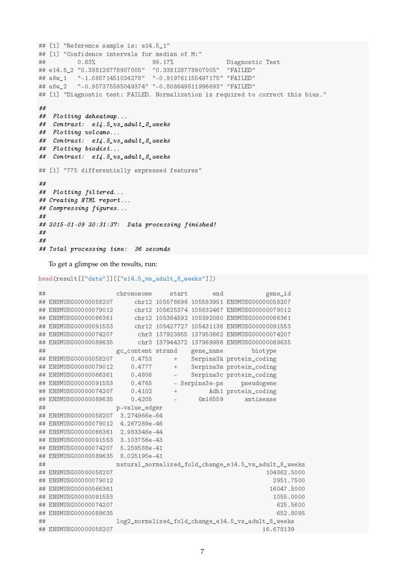```
## [1] "Reference sample is: e14.5 1"
## [1] "Confidence intervals for median of M:"
## 0.83% 99.17% Diagnostic Test
## e14.5_2 "0.338128778907005" "0.338128778907005" "FAILED"
## a8w_1 "-1.08571451024278" "-0.919761155497175" "FAILED"
## a8w_2 "-0.957375595049374" "-0.808649511996693" "FAILED"
## [1] "Diagnostic test: FAILED. Normalization is required to correct this bias."
##
## Plotting deheatmap...
## Contrast: e14.5_vs_adult_8_weeks
## Plotting volcano...
## Contrast: e14.5_vs_adult_8_weeks
## Plotting biodist...
## Contrast: e14.5_vs_adult_8_weeks
## [1] "775 differentially expressed features"
##
## Plotting filtered...
## Creating HTML report...
## Compressing figures...
##
## 2015-01-09 20:31:37: Data processing finished!
##
##
## Total processing time: 36 seconds
```
To get a glimpse on the results, run:

```
head(result[["data"]][["e14.5_vs_adult_8_weeks"]])
```

```
## chromosome start end gene_id
## ENSMUSG00000058207 chr12 105576696 105583951 ENSMUSG00000058207
## ENSMUSG00000079012 chr12 105625374 105632467 ENSMUSG00000079012
## ENSMUSG00000066361 chr12 105384592 105392080 ENSMUSG00000066361
## ENSMUSG00000091553 chr12 105427727 105431136 ENSMUSG00000091553
## ENSMUSG00000074207 chr3 137923955 137953662 ENSMUSG00000074207
## ENSMUSG00000089635 chr3 137944372 137969986 ENSMUSG00000089635
## \text{gc\_content strand} gene_name biotype<br>## ENSMUSG00000058207 0.4753 + Serpina3k protein_coding
## ENSMUSG00000058207 0.4753 + Serpina3k protein_coding
                           + Serpina3m protein_coding
## ENSMUSG00000066361 0.4806 - Serpina3c protein_coding
## ENSMUSG00000091553 0.4765 - Serpina3e-ps pseudogene
## ENSMUSG00000074207 0.4102 + Adh1 protein_coding
## ENSMUSG00000089635 0.4205 - Gm16559 antisense
## p-value_edger
## ENSMUSG00000058207 3.274966e-64
## ENSMUSG00000079012 4.267289e-46
## ENSMUSG00000066361 2.983346e-44
## ENSMUSG00000091553 3.103756e-43
## ENSMUSG00000074207 5.259588e-41
## ENSMUSG00000089635 8.025195e-41
## natural_normalized_fold_change_e14.5_vs_adult_8_weeks
## ENSMUSG00000058207 104862.5000
## ENSMUSG00000079012 2951.7500
## ENSMUSG00000066361 16047.5000
## ENSMUSG00000091553 1055.0000
## ENSMUSG00000074207 625.5600
## ENSMUSG00000089635 652.8095
## log2_normalized_fold_change_e14.5_vs_adult_8_weeks
## ENSMUSG00000058207 16.678139
```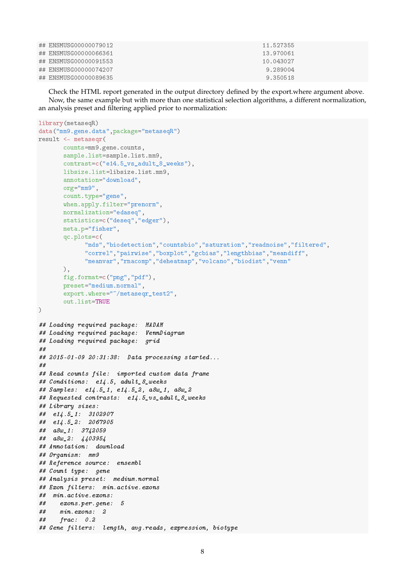| ## ENSMUSG00000079012 | 11.527355 |  |
|-----------------------|-----------|--|
| ## ENSMUSG00000066361 | 13.970061 |  |
| ## ENSMUSG00000091553 | 10.043027 |  |
| ## ENSMUSG00000074207 | 9.289004  |  |
| ## ENSMUSG00000089635 | 9.350518  |  |

Check the HTML report generated in the output directory defined by the export.where argument above. Now, the same example but with more than one statistical selection algorithms, a different normalization, an analysis preset and filtering applied prior to normalization:

```
library(metaseqR)
data("mm9.gene.data",package="metaseqR")
result <- metaseqr(
       counts=mm9.gene.counts,
       sample.list=sample.list.mm9,
       contrast=c("e14.5_vs_adult_8_weeks"),
      libsize.list=libsize.list.mm9,
       annotation="download",
      org="mm9",
       count.type="gene",
      when.apply.filter="prenorm",
      normalization="edaseq",
       statistics=c("deseq","edger"),
      meta.p="fisher",
      qc.plots=c(
             "mds","biodetection","countsbio","saturation","readnoise","filtered",
             "correl","pairwise","boxplot","gcbias","lengthbias","meandiff",
             "meanvar","rnacomp","deheatmap","volcano","biodist","venn"
      ),
      fig.format=c("png","pdf"),
      preset="medium.normal",
       export.where="~/metaseqr_test2",
       out.list=TRUE
)
## Loading required package: MADAM
## Loading required package: VennDiagram
## Loading required package: grid
##
## 2015-01-09 20:31:38: Data processing started...
##
## Read counts file: imported custom data frame
## Conditions: e14.5, adult_8_weeks
## Samples: e14.5_1, e14.5_2, a8w_1, a8w_2
## Requested contrasts: e14.5_vs_adult_8_weeks
## Library sizes:
## e14.5_1: 3102907
## e14.5_2: 2067905
## a8w_1: 3742059
## a8w_2: 4403954
## Annotation: download
## Organism: mm9
## Reference source: ensembl
## Count type: gene
## Analysis preset: medium.normal
## Exon filters: min.active.exons
## min.active.exons:
## exons.per.gene: 5
## min.exons: 2
## frac: 0.2
## Gene filters: length, avg.reads, expression, biotype
```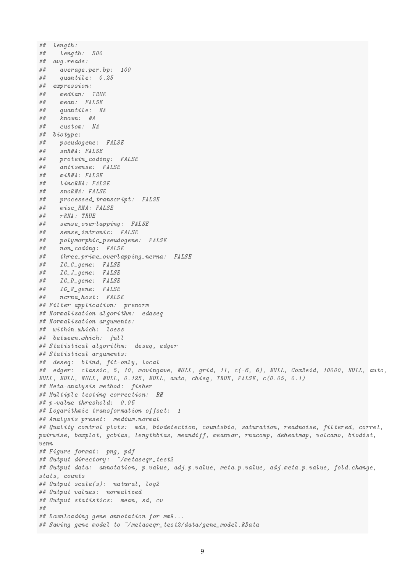## length: ## length: 500 ## avg.reads: ## average.per.bp: 100 ## quantile: 0.25 ## expression: ## median: TRUE ## mean: FALSE ## quantile: NA ## known: NA ## custom: NA ## biotype: ## pseudogene: FALSE ## snRNA: FALSE ## protein\_coding: FALSE ## antisense: FALSE ## miRNA: FALSE ## lincRNA: FALSE ## snoRNA: FALSE ## processed\_transcript: FALSE ## misc\_RNA: FALSE ## rRNA: TRUE ## sense\_overlapping: FALSE ## sense\_intronic: FALSE ## polymorphic\_pseudogene: FALSE ## non\_coding: FALSE ## three\_prime\_overlapping\_ncrna: FALSE ## IG\_C\_gene: FALSE ## IG\_J\_gene: FALSE ## IG\_D\_gene: FALSE ## IG\_V\_gene: FALSE ## ncrna\_host: FALSE ## Filter application: prenorm ## Normalization algorithm: edaseq ## Normalization arguments: ## within.which: loess ## between.which: full ## Statistical algorithm: deseq, edger ## Statistical arguments: ## deseq: blind, fit-only, local ## edger: classic, 5, 10, movingave, NULL, grid, 11, c(-6, 6), NULL, CoxReid, 10000, NULL, auto, NULL, NULL, NULL, NULL, 0.125, NULL, auto, chisq, TRUE, FALSE, c(0.05, 0.1) ## Meta-analysis method: fisher ## Multiple testing correction: BH ## p-value threshold: 0.05 ## Logarithmic transformation offset: 1 ## Analysis preset: medium.normal ## Quality control plots: mds, biodetection, countsbio, saturation, readnoise, filtered, correl, pairwise, boxplot, gcbias, lengthbias, meandiff, meanvar, rnacomp, deheatmap, volcano, biodist,  $v$ enn ## Figure format: png, pdf ## Output directory: "/metasegr test2 ## Output data: annotation, p.value, adj.p.value, meta.p.value, adj.meta.p.value, fold.change, stats, counts ## Output scale(s): natural, log2 ## Output values: normalized ## Output statistics: mean, sd, cv ## ## Downloading gene annotation for mm9... ## Saving gene model to "/metaseqr\_test2/data/gene\_model.RData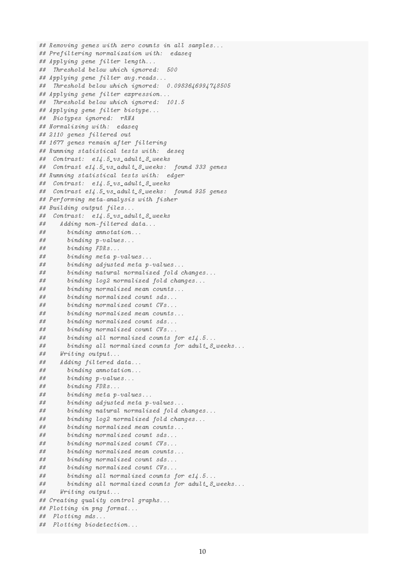```
## Removing genes with zero counts in all samples...
## Prefiltering normalization with: edaseq
## Applying gene filter length...
## Threshold below which ignored: 500
## Applying gene filter avg.reads...
## Threshold below which ignored: 0.0983646994748505
## Applying gene filter expression...
## Threshold below which ignored: 101.5
## Applying gene filter biotype...
## Biotypes ignored: rRNA
## Normalizing with: edaseq
## 2110 genes filtered out
## 1677 genes remain after filtering
## Running statistical tests with: deseq
## Contrast: e14.5_vs_adult_8_weeks
## Contrast e14.5_vs_adult_8_weeks: found 333 genes
## Running statistical tests with: edger
## Contrast: e14.5_vs_adult_8_weeks
## Contrast e14.5_vs_adult_8_weeks: found 925 genes
## Performing meta-analysis with fisher
## Building output files...
## Contrast: e14.5_vs_adult_8_weeks
## Adding non-filtered data...
## binding annotation...
## binding p-values...
## binding FDRs...
## binding meta p-values...
## binding adjusted meta p-values...
## binding natural normalized fold changes...
## binding log2 normalized fold changes...
## binding normalized mean counts...
## binding normalized count sds...
## binding normalized count CVs...
## binding normalized mean counts...
## binding normalized count sds...
## binding normalized count CVs...
## binding all normalized counts for e14.5...
## binding all normalized counts for adult_8_weeks...
## Writing output...
## Adding filtered data...
## binding annotation...
## binding p-values...
## binding FDRs...
## binding meta p-values...
## binding adjusted meta p-values...
## binding natural normalized fold changes...
## binding log2 normalized fold changes...
## binding normalized mean counts...
## binding normalized count sds...
## binding normalized count CVs...
## binding normalized mean counts...
## binding normalized count sds...
## binding normalized count CVs...
## binding all normalized counts for e14.5...
## binding all normalized counts for adult_8_weeks...
## Writing output...
## Creating quality control graphs...
## Plotting in png format...
## Plotting mds...
## Plotting biodetection...
```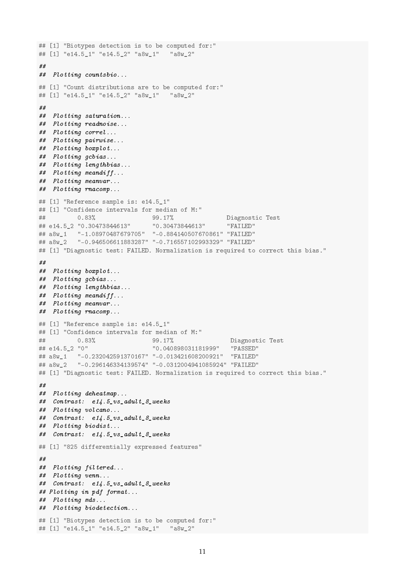```
## [1] "Biotypes detection is to be computed for:"
## [1] "e14.5 1" "e14.5 2" "a8w 1" "a8w 2"
##
## Plotting countsbio...
## [1] "Count distributions are to be computed for:"
## [1] "e14.5_1" "e14.5_2" "a8w_1" "a8w_2"
##
## Plotting saturation...
## Plotting readnoise...
## Plotting correl...
## Plotting pairwise...
## Plotting boxplot...
## Plotting gcbias...
## Plotting lengthbias...
## Plotting meandiff...
## Plotting meanvar...
## Plotting rnacomp...
## [1] "Reference sample is: e14.5_1"
## [1] "Confidence intervals for median of M:"
## 0.83% 99.17% Diagnostic Test
## e14.5_2 "0.30473844613" "0.30473844613"
## a8w_1 "-1.08970487679705" "-0.884140507670861" "FAILED"
## a8w_2 "-0.946506611883287" "-0.716557102993329" "FAILED"
## [1] "Diagnostic test: FAILED. Normalization is required to correct this bias."
##
## Plotting boxplot...
## Plotting gcbias...
## Plotting lengthbias...
## Plotting meandiff...
## Plotting meanvar...
## Plotting rnacomp...
## [1] "Reference sample is: e14.5_1"
## [1] "Confidence intervals for median of M:"
## 0.83% 99.17% Diagnostic Test
## e14.5_2 "0" "0.040898031181999" "PASSED"
## a8w 1 "-0.232042591370167" "-0.013421608200921" "FAILED"
## a8w_2 "-0.296146334139574" "-0.0312004941085924" "FAILED"
## [1] "Diagnostic test: FAILED. Normalization is required to correct this bias."
##
## Plotting deheatmap...
## Contrast: e14.5_vs_adult_8_weeks
## Plotting volcano...
\# \# \quad \textit{Contrast:} \quad \textit{e14.5\_vs\_adult\_8\_weeks}## Plotting biodist...
## Contrast: e14.5_vs_adult_8_weeks
## [1] "825 differentially expressed features"
##
## Plotting filtered...
## Plotting venn...
## Contrast: e14.5_vs_adult_8_weeks
## Plotting in pdf format...
## Plotting mds...
## Plotting biodetection...
## [1] "Biotypes detection is to be computed for:"
## [1] "e14.5_1" "e14.5_2" "a8w_1" "a8w_2"
```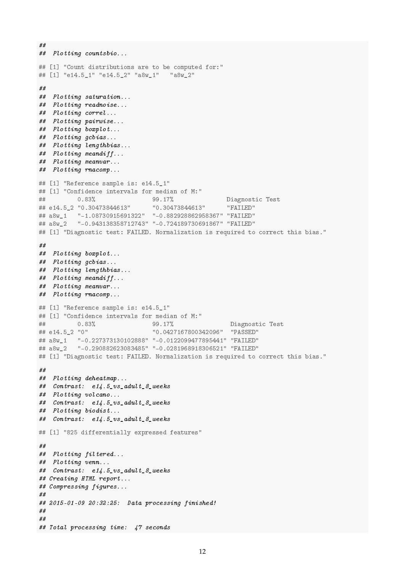```
##
## Plotting countsbio...
## [1] "Count distributions are to be computed for:"
## [1] "e14.5_1" "e14.5_2" "a8w_1" "a8w_2"
##
## Plotting saturation...
## Plotting readnoise...
## Plotting correl...
## Plotting pairwise...
## Plotting boxplot...
## Plotting gcbias...
## Plotting lengthbias...
## Plotting meandiff...
## Plotting meanvar...
## Plotting rnacomp...
## [1] "Reference sample is: e14.5_1"
## [1] "Confidence intervals for median of M:"
## 0.83% 99.17% Diagnostic Test
## e14.5_2 "0.30473844613" "0.30473844613" "FAILED"
## a8w_1 "-1.08730915691322" "-0.882928862958367" "FAILED"
## a8w_2 "-0.943138358712743" "-0.724189730691867" "FAILED"
## [1] "Diagnostic test: FAILED. Normalization is required to correct this bias."
##
## Plotting boxplot...
## Plotting gcbias...
## Plotting lengthbias...
## Plotting meandiff...
## Plotting meanvar...
## Plotting rnacomp...
## [1] "Reference sample is: e14.5_1"
## [1] "Confidence intervals for median of M:"
## 0.83% 99.17% Diagnostic Test
## e14.5_2 "0" "0.0427167800342096" "PASSED"
## a8w_1 "-0.227373130102888" "-0.0122099477895441" "FAILED"
## a8w_2 "-0.290882623083485" "-0.0281968918306521" "FAILED"
## [1] "Diagnostic test: FAILED. Normalization is required to correct this bias."
##
## Plotting deheatmap...
## Contrast: e14.5_vs_adult_8_weeks
## Plotting volcano...
## Contrast: e14.5_vs_adult_8_weeks
## Plotting biodist...
## Contrast: e14.5_vs_adult_8_weeks
## [1] "825 differentially expressed features"
##
## Plotting filtered...
## Plotting venn...
## Contrast: e14.5_vs_adult_8_weeks
## Creating HTML report...
## Compressing figures...
##
## 2015-01-09 20:32:25: Data processing finished!
##
##
## Total processing time: 47 seconds
```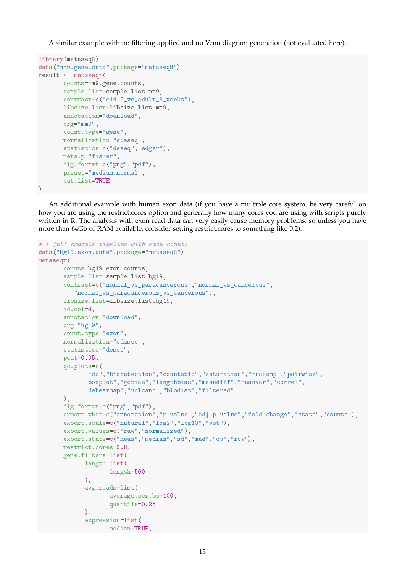A similar example with no filtering applied and no Venn diagram generation (not evaluated here):

```
library(metaseqR)
data("mm9.gene.data",package="metaseqR")
result <- metaseqr(
       counts=mm9.gene.counts,
       sample.list=sample.list.mm9,
       contrast=c("e14.5_vs_adult_8_weeks"),
       libsize.list=libsize.list.mm9,
       annotation="download",
       org="mm9",
       count.type="gene",
       normalization="edaseq",
       statistics=c("deseq","edger"),
       meta.p="fisher",
       fig.format=c("png","pdf"),
       preset="medium.normal",
       out.list=TRUE
)
```
An additional example with human exon data (if you have a multiple core system, be very careful on how you are using the restrict.cores option and generally how many cores you are using with scripts purely written in R. The analysis with exon read data can very easily cause memory problems, so unless you have more than 64Gb of RAM available, consider setting restrict.cores to something like 0.2):

```
# A full example pipeline with exon counts
data("hg19.exon.data",package="metaseqR")
metaseqr(
       counts=hg19.exon.counts,
       sample.list=sample.list.hg19,
       contrast=c("normal_vs_paracancerous","normal_vs_cancerous",
          "normal_vs_paracancerous_vs_cancerous"),
       libsize.list=libsize.list.hg19,
       id.col=4,
       annotation="download",
       org="hg19",
       count.type="exon",
       normalization="edaseq",
       statistics="deseq",
       pcut=0.05,
       qc.plots=c(
             "mds","biodetection","countsbio","saturation","rnacomp","pairwise",
             "boxplot","gcbias","lengthbias","meandiff","meanvar","correl",
             "deheatmap","volcano","biodist","filtered"
       ),
       fig.format=c("png","pdf"),
       export.what=c("annotation","p.value","adj.p.value","fold.change","stats","counts"),
       export.scale=c("natural","log2","log10","vst"),
       export.values=c("raw","normalized"),
       export.stats=c("mean","median","sd","mad","cv","rcv"),
       restrict.cores=0.8,
       gene.filters=list(
             length=list(
                    length=500
             ),
             avg.reads=list(
                    average.per.bp=100,
                    quantile=0.25
             ),
             expression=list(
                    median=TRUE,
```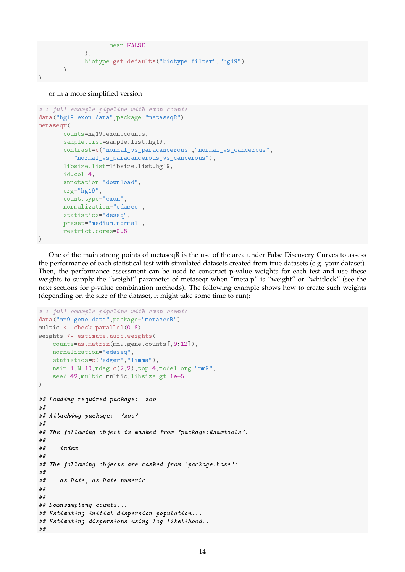```
mean=FALSE
             ),
             biotype=get.defaults("biotype.filter","hg19")
       )
)
```
or in a more simplified version

```
# A full example pipeline with exon counts
data("hg19.exon.data",package="metaseqR")
metaseqr(
       counts=hg19.exon.counts,
       sample.list=sample.list.hg19,
       contrast=c("normal_vs_paracancerous","normal_vs_cancerous",
          "normal_vs_paracancerous_vs_cancerous"),
       libsize.list=libsize.list.hg19,
       id.col=4,
       annotation="download",
       org="hg19",
       count.type="exon",
       normalization="edaseq",
       statistics="deseq",
       preset="medium.normal",
       restrict.cores=0.8
)
```
One of the main strong points of metaseqR is the use of the area under False Discovery Curves to assess the performance of each statistical test with simulated datasets created from true datasets (e.g. your dataset). Then, the performance assessment can be used to construct p-value weights for each test and use these weights to supply the "weight" parameter of metaseqr when "meta.p" is "weight" or "whitlock" (see the next sections for p-value combination methods). The following example shows how to create such weights (depending on the size of the dataset, it might take some time to run):

```
# A full example pipeline with exon counts
data("mm9.gene.data",package="metaseqR")
multic <- check.parallel(0.8)
weights <- estimate.aufc.weights(
    counts=as.matrix(mm9.gene.counts[,9:12]),
    normalization="edaseq",
    statistics=c("edger","limma"),
    nsim=1,N=10,ndeg=c(2,2),top=4,model.org="mm9",
    seed=42,multic=multic,libsize.gt=1e+5
)
## Loading required package: zoo
##
## Attaching package: 'zoo'
##
## The following object is masked from 'package:Rsamtools':
##
## index
##
## The following objects are masked from 'package:base':
##
## as.Date, as.Date.numeric
##
##
## Downsampling counts...
## Estimating initial dispersion population...
## Estimating dispersions using log-likelihood...
##
```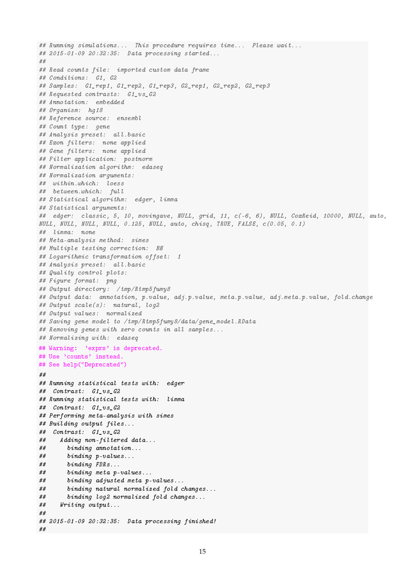```
## Running simulations... This procedure requires time... Please wait...
## 2015-01-09 20:32:35: Data processing started...
##
## Read counts file: imported custom data frame
## Conditions: G1, G2
## Samples: G1_rep1, G1_rep2, G1_rep3, G2_rep1, G2_rep2, G2_rep3
## Requested contrasts: G1_vs_G2
## Annotation: embedded
## Organism: hg18
## Reference source: ensembl
## Count type: gene
## Analysis preset: all.basic
## Exon filters: none applied
## Gene filters: none applied
## Filter application: postnorm
## Normalization algorithm: edaseq
## Normalization arguments:
## within.which: loess
## between.which: full
## Statistical algorithm: edger, limma
## Statistical arguments:
## edger: classic, 5, 10, movingave, NULL, grid, 11, c(-6, 6), NULL, CoxReid, 10000, NULL, auto,
NULL, NULL, NULL, NULL, 0.125, NULL, auto, chisq, TRUE, FALSE, c(0.05, 0.1)
## limma: none
## Meta-analysis method: simes
## Multiple testing correction: BH
## Logarithmic transformation offset: 1
## Analysis preset: all.basic
## Quality control plots:
## Figure format: png
## Output directory: /tmp/Rtmp5fumy8
## Output data: annotation, p.value, adj.p.value, meta.p.value, adj.meta.p.value, fold.change
## Output scale(s): natural, log2
## Output values: normalized
## Saving gene model to /tmp/Rtmp5fumy8/data/gene_model.RData
## Removing genes with zero counts in all samples...
## Normalizing with: edaseq
## Warning: 'exprs' is deprecated.
## Use 'counts' instead.
## See help("Deprecated")
##
## Running statistical tests with: edger
## Contrast: G1_vs_G2
## Running statistical tests with: limma
## Contrast: G1_vs_G2
## Performing meta-analysis with simes
## Building output files...
## Contrast: G1_vs_G2
## Adding non-filtered data...
## binding annotation...
## binding p-values...
## binding FDRs...
## binding meta p-values...
## binding adjusted meta p-values...
## binding natural normalized fold changes...
## binding log2 normalized fold changes...
## Writing output...
##
## 2015-01-09 20:32:35: Data processing finished!
##
```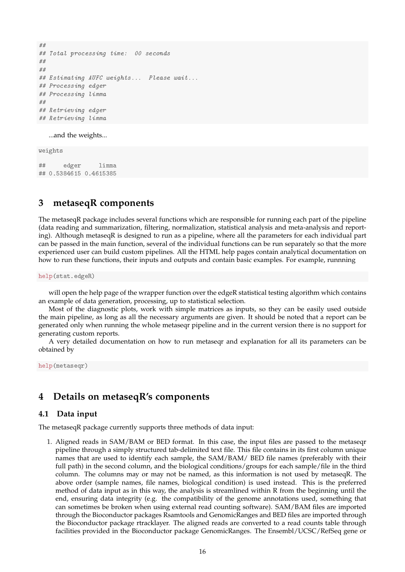```
##
## Total processing time: 00 seconds
##
##
## Estimating AUFC weights... Please wait...
## Processing edger
## Processing limma
##
## Retrieving edger
## Retrieving limma
```
...and the weights...

weights

## edger limma ## 0.5384615 0.4615385

# **3 metaseqR components**

The metaseqR package includes several functions which are responsible for running each part of the pipeline (data reading and summarization, filtering, normalization, statistical analysis and meta-analysis and reporting). Although metaseqR is designed to run as a pipeline, where all the parameters for each individual part can be passed in the main function, several of the individual functions can be run separately so that the more experienced user can build custom pipelines. All the HTML help pages contain analytical documentation on how to run these functions, their inputs and outputs and contain basic examples. For example, runnning

help(stat.edgeR)

will open the help page of the wrapper function over the edgeR statistical testing algorithm which contains an example of data generation, processing, up to statistical selection.

Most of the diagnostic plots, work with simple matrices as inputs, so they can be easily used outside the main pipeline, as long as all the necessary arguments are given. It should be noted that a report can be generated only when running the whole metaseqr pipeline and in the current version there is no support for generating custom reports.

A very detailed documentation on how to run metaseqr and explanation for all its parameters can be obtained by

help(metaseqr)

# **4 Details on metaseqR's components**

#### **4.1 Data input**

The metaseqR package currently supports three methods of data input:

1. Aligned reads in SAM/BAM or BED format. In this case, the input files are passed to the metaseqr pipeline through a simply structured tab-delimited text file. This file contains in its first column unique names that are used to identify each sample, the SAM/BAM/ BED file names (preferably with their full path) in the second column, and the biological conditions/groups for each sample/file in the third column. The columns may or may not be named, as this information is not used by metaseqR. The above order (sample names, file names, biological condition) is used instead. This is the preferred method of data input as in this way, the analysis is streamlined within R from the beginning until the end, ensuring data integrity (e.g. the compatibility of the genome annotations used, something that can sometimes be broken when using external read counting software). SAM/BAM files are imported through the Bioconductor packages Rsamtools and GenomicRanges and BED files are imported through the Bioconductor package rtracklayer. The aligned reads are converted to a read counts table through facilities provided in the Bioconductor package GenomicRanges. The Ensembl/UCSC/RefSeq gene or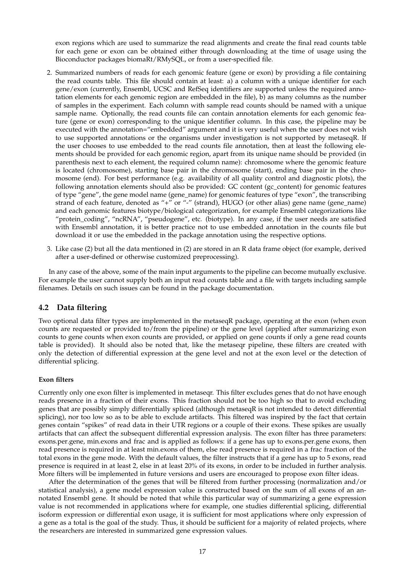exon regions which are used to summarize the read alignments and create the final read counts table for each gene or exon can be obtained either through downloading at the time of usage using the Bioconductor packages biomaRt/RMySQL, or from a user-specified file.

- 2. Summarized numbers of reads for each genomic feature (gene or exon) by providing a file containing the read counts table. This file should contain at least: a) a column with a unique identifier for each gene/exon (currently, Ensembl, UCSC and RefSeq identifiers are supported unless the required annotation elements for each genomic region are embedded in the file), b) as many columns as the number of samples in the experiment. Each column with sample read counts should be named with a unique sample name. Optionally, the read counts file can contain annotation elements for each genomic feature (gene or exon) corresponding to the unique identifier column. In this case, the pipeline may be executed with the annotation="embedded" argument and it is very useful when the user does not wish to use supported annotations or the organisms under investigation is not supported by metaseqR. If the user chooses to use embedded to the read counts file annotation, then at least the following elements should be provided for each genomic region, apart from its unique name should be provided (in parenthesis next to each element, the required column name): chromosome where the genomic feature is located (chromosome), starting base pair in the chromosome (start), ending base pair in the chromosome (end). For best performance (e.g. availability of all quality control and diagnostic plots), the following annotation elements should also be provided: GC content (gc\_content) for genomic features of type "gene", the gene model name (gene\_name) for genomic features of type "exon", the transcribing strand of each feature, denoted as "+" or "-" (strand), HUGO (or other alias) gene name (gene\_name) and each genomic features biotype/biological categorization, for example Ensembl categorizations like "protein\_coding", "ncRNA", "pseudogene", etc. (biotype). In any case, if the user needs are satisfied with Ensembl annotation, it is better practice not to use embedded annotation in the counts file but download it or use the embedded in the package annotation using the respective options.
- 3. Like case (2) but all the data mentioned in (2) are stored in an R data frame object (for example, derived after a user-defined or otherwise customized preprocessing).

In any case of the above, some of the main input arguments to the pipeline can become mutually exclusive. For example the user cannot supply both an input read counts table and a file with targets including sample filenames. Details on such issues can be found in the package documentation.

#### **4.2 Data filtering**

Two optional data filter types are implemented in the metaseqR package, operating at the exon (when exon counts are requested or provided to/from the pipeline) or the gene level (applied after summarizing exon counts to gene counts when exon counts are provided, or applied on gene counts if only a gene read counts table is provided). It should also be noted that, like the metaseqr pipeline, these filters are created with only the detection of differential expression at the gene level and not at the exon level or the detection of differential splicing.

#### **Exon filters**

Currently only one exon filter is implemented in metaseqr. This filter excludes genes that do not have enough reads presence in a fraction of their exons. This fraction should not be too high so that to avoid excluding genes that are possibly simply differentially spliced (although metaseqR is not intended to detect differential splicing), nor too low so as to be able to exclude artifacts. This filtered was inspired by the fact that certain genes contain "spikes" of read data in their UTR regions or a couple of their exons. These spikes are usually artifacts that can affect the subsequent differential expression analysis. The exon filter has three parameters: exons.per.gene, min.exons and frac and is applied as follows: if a gene has up to exons.per.gene exons, then read presence is required in at least min.exons of them, else read presence is required in a frac fraction of the total exons in the gene mode. With the default values, the filter instructs that if a gene has up to 5 exons, read presence is required in at least 2, else in at least 20% of its exons, in order to be included in further analysis. More filters will be implemented in future versions and users are encouraged to propose exon filter ideas.

After the determination of the genes that will be filtered from further processing (normalization and/or statistical analysis), a gene model expression value is constructed based on the sum of all exons of an annotated Ensembl gene. It should be noted that while this particular way of summarizing a gene expression value is not recommended in applications where for example, one studies differential splicing, differential isoform expression or differential exon usage, it is sufficient for most applications where only expression of a gene as a total is the goal of the study. Thus, it should be sufficient for a majority of related projects, where the researchers are interested in summarized gene expression values.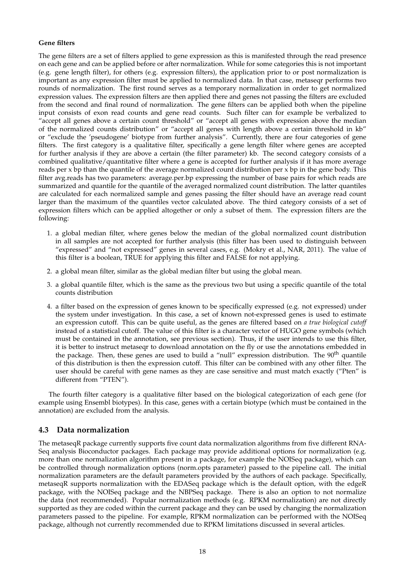#### **Gene filters**

The gene filters are a set of filters applied to gene expression as this is manifested through the read presence on each gene and can be applied before or after normalization. While for some categories this is not important (e.g. gene length filter), for others (e.g. expression filters), the application prior to or post normalization is important as any expression filter must be applied to normalized data. In that case, metaseqr performs two rounds of normalization. The first round serves as a temporary normalization in order to get normalized expression values. The expression filters are then applied there and genes not passing the filters are excluded from the second and final round of normalization. The gene filters can be applied both when the pipeline input consists of exon read counts and gene read counts. Such filter can for example be verbalized to "accept all genes above a certain count threshold" or "accept all genes with expression above the median of the normalized counts distribution" or "accept all genes with length above a certain threshold in kb" or "exclude the 'pseudogene' biotype from further analysis". Currently, there are four categories of gene filters. The first category is a qualitative filter, specifically a gene length filter where genes are accepted for further analysis if they are above a certain (the filter parameter) kb. The second category consists of a combined qualitative/quantitative filter where a gene is accepted for further analysis if it has more average reads per x bp than the quantile of the average normalized count distribution per x bp in the gene body. This filter avg.reads has two parameters: average.per.bp expressing the number of base pairs for which reads are summarized and quantile for the quantile of the averaged normalized count distribution. The latter quantiles are calculated for each normalized sample and genes passing the filter should have an average read count larger than the maximum of the quantiles vector calculated above. The third category consists of a set of expression filters which can be applied altogether or only a subset of them. The expression filters are the following:

- 1. a global median filter, where genes below the median of the global normalized count distribution in all samples are not accepted for further analysis (this filter has been used to distinguish between "expressed" and "not expressed" genes in several cases, e.g. (Mokry et al., NAR, 2011). The value of this filter is a boolean, TRUE for applying this filter and FALSE for not applying.
- 2. a global mean filter, similar as the global median filter but using the global mean.
- 3. a global quantile filter, which is the same as the previous two but using a specific quantile of the total counts distribution
- 4. a filter based on the expression of genes known to be specifically expressed (e.g. not expressed) under the system under investigation. In this case, a set of known not-expressed genes is used to estimate an expression cutoff. This can be quite useful, as the genes are filtered based on *a true biological cutoff* instead of a statistical cutoff. The value of this filter is a character vector of HUGO gene symbols (which must be contained in the annotation, see previous section). Thus, if the user intends to use this filter, it is better to instruct metaseqr to download annotation on the fly or use the annotations embedded in the package. Then, these genes are used to build a "null" expression distribution. The 90<sup>th</sup> quantile of this distribution is then the expression cutoff. This filter can be combined with any other filter. The user should be careful with gene names as they are case sensitive and must match exactly ("Pten" is different from "PTEN").

The fourth filter category is a qualitative filter based on the biological categorization of each gene (for example using Ensembl biotypes). In this case, genes with a certain biotype (which must be contained in the annotation) are excluded from the analysis.

## **4.3 Data normalization**

The metaseqR package currently supports five count data normalization algorithms from five different RNA-Seq analysis Bioconductor packages. Each package may provide additional options for normalization (e.g. more than one normalization algorithm present in a package, for example the NOISeq package), which can be controlled through normalization options (norm.opts parameter) passed to the pipeline call. The initial normalization parameters are the default parameters provided by the authors of each package. Specifically, metaseqR supports normalization with the EDASeq package which is the default option, with the edgeR package, with the NOISeq package and the NBPSeq package. There is also an option to not normalize the data (not recommended). Popular normalization methods (e.g. RPKM normalization) are not directly supported as they are coded within the current package and they can be used by changing the normalization parameters passed to the pipeline. For example, RPKM normalization can be performed with the NOISeq package, although not currently recommended due to RPKM limitations discussed in several articles.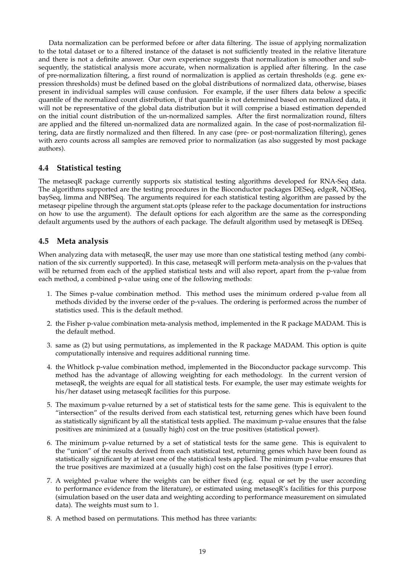Data normalization can be performed before or after data filtering. The issue of applying normalization to the total dataset or to a filtered instance of the dataset is not sufficiently treated in the relative literature and there is not a definite answer. Our own experience suggests that normalization is smoother and subsequently, the statistical analysis more accurate, when normalization is applied after filtering. In the case of pre-normalization filtering, a first round of normalization is applied as certain thresholds (e.g. gene expression thresholds) must be defined based on the global distributions of normalized data, otherwise, biases present in individual samples will cause confusion. For example, if the user filters data below a specific quantile of the normalized count distribution, if that quantile is not determined based on normalized data, it will not be representative of the global data distribution but it will comprise a biased estimation depended on the initial count distribution of the un-normalized samples. After the first normalization round, filters are applied and the filtered un-normalized data are normalized again. In the case of post-normalization filtering, data are firstly normalized and then filtered. In any case (pre- or post-normalization filtering), genes with zero counts across all samples are removed prior to normalization (as also suggested by most package authors).

## **4.4 Statistical testing**

The metaseqR package currently supports six statistical testing algorithms developed for RNA-Seq data. The algorithms supported are the testing procedures in the Bioconductor packages DESeq, edgeR, NOISeq, baySeq, limma and NBPSeq. The arguments required for each statistical testing algorithm are passed by the metaseqr pipeline through the argument stat.opts (please refer to the package documentation for instructions on how to use the argument). The default options for each algorithm are the same as the corresponding default arguments used by the authors of each package. The default algorithm used by metaseqR is DESeq.

## **4.5 Meta analysis**

When analyzing data with metaseqR, the user may use more than one statistical testing method (any combination of the six currently supported). In this case, metaseqR will perform meta-analysis on the p-values that will be returned from each of the applied statistical tests and will also report, apart from the p-value from each method, a combined p-value using one of the following methods:

- 1. The Simes p-value combination method. This method uses the minimum ordered p-value from all methods divided by the inverse order of the p-values. The ordering is performed across the number of statistics used. This is the default method.
- 2. the Fisher p-value combination meta-analysis method, implemented in the R package MADAM. This is the default method.
- 3. same as (2) but using permutations, as implemented in the R package MADAM. This option is quite computationally intensive and requires additional running time.
- 4. the Whitlock p-value combination method, implemented in the Bioconductor package survcomp. This method has the advantage of allowing weighting for each methodology. In the current version of metaseqR, the weights are equal for all statistical tests. For example, the user may estimate weights for his/her dataset using metaseqR facilities for this purpose.
- 5. The maximum p-value returned by a set of statistical tests for the same gene. This is equivalent to the "intersection" of the results derived from each statistical test, returning genes which have been found as statistically significant by all the statistical tests applied. The maximum p-value ensures that the false positives are minimized at a (usually high) cost on the true positives (statistical power).
- 6. The minimum p-value returned by a set of statistical tests for the same gene. This is equivalent to the "union" of the results derived from each statistical test, returning genes which have been found as statistically significant by at least one of the statistical tests applied. The minimum p-value ensures that the true positives are maximized at a (usually high) cost on the false positives (type I error).
- 7. A weighted p-value where the weights can be either fixed (e.g. equal or set by the user according to performance evidence from the literature), or estimated using metaseqR's facilities for this purpose (simulation based on the user data and weighting according to performance measurement on simulated data). The weights must sum to 1.
- 8. A method based on permutations. This method has three variants: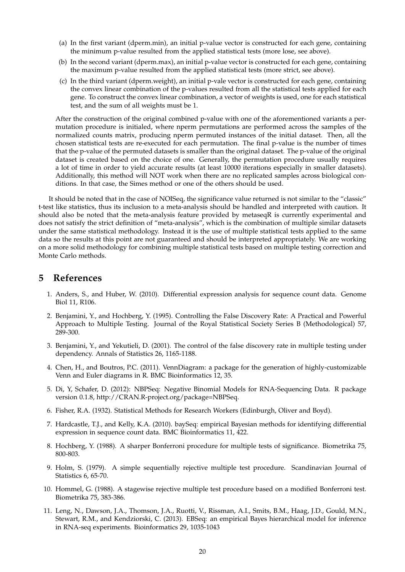- (a) In the first variant (dperm.min), an initial p-value vector is constructed for each gene, containing the minimum p-value resulted from the applied statistical tests (more lose, see above).
- (b) In the second variant (dperm.max), an initial p-value vector is constructed for each gene, containing the maximum p-value resulted from the applied statistical tests (more strict, see above).
- (c) In the third variant (dperm.weight), an initial p-vale vector is constructed for each gene, containing the convex linear combination of the p-values resulted from all the statistical tests applied for each gene. To construct the convex linear combination, a vector of weights is used, one for each statistical test, and the sum of all weights must be 1.

After the construction of the original combined p-value with one of the aforementioned variants a permutation procedure is initialed, where nperm permutations are performed across the samples of the normalized counts matrix, producing nperm permuted instances of the initial dataset. Then, all the chosen statistical tests are re-executed for each permutation. The final p-value is the number of times that the p-value of the permuted datasets is smaller than the original dataset. The p-value of the original dataset is created based on the choice of one. Generally, the permutation procedure usually requires a lot of time in order to yield accurate results (at least 10000 iterations especially in smaller datasets). Additionally, this method will NOT work when there are no replicated samples across biological conditions. In that case, the Simes method or one of the others should be used.

It should be noted that in the case of NOISeq, the significance value returned is not similar to the "classic" t-test like statistics, thus its inclusion to a meta-analysis should be handled and interpreted with caution. It should also be noted that the meta-analysis feature provided by metaseqR is currently experimental and does not satisfy the strict definition of "meta-analysis", which is the combination of multiple similar datasets under the same statistical methodology. Instead it is the use of multiple statistical tests applied to the same data so the results at this point are not guaranteed and should be interpreted appropriately. We are working on a more solid methodology for combining multiple statistical tests based on multiple testing correction and Monte Carlo methods.

## **5 References**

- 1. Anders, S., and Huber, W. (2010). Differential expression analysis for sequence count data. Genome Biol 11, R106.
- 2. Benjamini, Y., and Hochberg, Y. (1995). Controlling the False Discovery Rate: A Practical and Powerful Approach to Multiple Testing. Journal of the Royal Statistical Society Series B (Methodological) 57, 289-300.
- 3. Benjamini, Y., and Yekutieli, D. (2001). The control of the false discovery rate in multiple testing under dependency. Annals of Statistics 26, 1165-1188.
- 4. Chen, H., and Boutros, P.C. (2011). VennDiagram: a package for the generation of highly-customizable Venn and Euler diagrams in R. BMC Bioinformatics 12, 35.
- 5. Di, Y, Schafer, D. (2012): NBPSeq: Negative Binomial Models for RNA-Sequencing Data. R package version 0.1.8, http://CRAN.R-project.org/package=NBPSeq.
- 6. Fisher, R.A. (1932). Statistical Methods for Research Workers (Edinburgh, Oliver and Boyd).
- 7. Hardcastle, T.J., and Kelly, K.A. (2010). baySeq: empirical Bayesian methods for identifying differential expression in sequence count data. BMC Bioinformatics 11, 422.
- 8. Hochberg, Y. (1988). A sharper Bonferroni procedure for multiple tests of significance. Biometrika 75, 800-803.
- 9. Holm, S. (1979). A simple sequentially rejective multiple test procedure. Scandinavian Journal of Statistics 6, 65-70.
- 10. Hommel, G. (1988). A stagewise rejective multiple test procedure based on a modified Bonferroni test. Biometrika 75, 383-386.
- 11. Leng, N., Dawson, J.A., Thomson, J.A., Ruotti, V., Rissman, A.I., Smits, B.M., Haag, J.D., Gould, M.N., Stewart, R.M., and Kendziorski, C. (2013). EBSeq: an empirical Bayes hierarchical model for inference in RNA-seq experiments. Bioinformatics 29, 1035-1043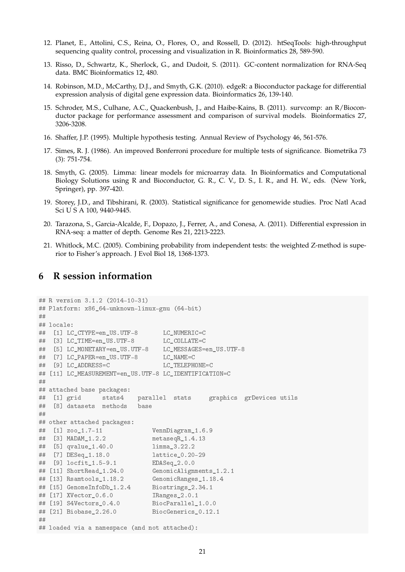- 12. Planet, E., Attolini, C.S., Reina, O., Flores, O., and Rossell, D. (2012). htSeqTools: high-throughput sequencing quality control, processing and visualization in R. Bioinformatics 28, 589-590.
- 13. Risso, D., Schwartz, K., Sherlock, G., and Dudoit, S. (2011). GC-content normalization for RNA-Seq data. BMC Bioinformatics 12, 480.
- 14. Robinson, M.D., McCarthy, D.J., and Smyth, G.K. (2010). edgeR: a Bioconductor package for differential expression analysis of digital gene expression data. Bioinformatics 26, 139-140.
- 15. Schroder, M.S., Culhane, A.C., Quackenbush, J., and Haibe-Kains, B. (2011). survcomp: an R/Bioconductor package for performance assessment and comparison of survival models. Bioinformatics 27, 3206-3208.
- 16. Shaffer, J.P. (1995). Multiple hypothesis testing. Annual Review of Psychology 46, 561-576.
- 17. Simes, R. J. (1986). An improved Bonferroni procedure for multiple tests of significance. Biometrika 73 (3): 751-754.
- 18. Smyth, G. (2005). Limma: linear models for microarray data. In Bioinformatics and Computational Biology Solutions using R and Bioconductor, G. R., C. V., D. S., I. R., and H. W., eds. (New York, Springer), pp. 397-420.
- 19. Storey, J.D., and Tibshirani, R. (2003). Statistical significance for genomewide studies. Proc Natl Acad Sci U S A 100, 9440-9445.
- 20. Tarazona, S., Garcia-Alcalde, F., Dopazo, J., Ferrer, A., and Conesa, A. (2011). Differential expression in RNA-seq: a matter of depth. Genome Res 21, 2213-2223.
- 21. Whitlock, M.C. (2005). Combining probability from independent tests: the weighted Z-method is superior to Fisher's approach. J Evol Biol 18, 1368-1373.

## **6 R session information**

```
## R version 3.1.2 (2014-10-31)
## Platform: x86_64-unknown-linux-gnu (64-bit)
##
## locale:
## [1] LC_CTYPE=en_US.UTF-8 LC_NUMERIC=C
## [3] LC_TIME=en_US.UTF-8 LC_COLLATE=C
## [5] LC_MONETARY=en_US.UTF-8 LC_MESSAGES=en_US.UTF-8
## [7] LC_PAPER=en_US.UTF-8 LC_NAME=C
## [9] LC_ADDRESS=C LC_TELEPHONE=C
## [11] LC_MEASUREMENT=en_US.UTF-8 LC_IDENTIFICATION=C
#### attached base packages:
## [1] grid stats4 parallel stats graphics grDevices utils
## [8] datasets methods base
##
## other attached packages:
## [1] zoo_1.7-11 VennDiagram_1.6.9
## [3] MADAM_1.2.2 metaseqR_1.4.13
## [5] qvalue_1.40.0 limma_3.22.2
## [7] DESeq_1.18.0 lattice_0.20-29
## [9] locfit_1.5-9.1 EDASeq_2.0.0
## [11] ShortRead_1.24.0 GenomicAlignments_1.2.1
## [13] Rsamtools_1.18.2 GenomicRanges_1.18.4
## [15] GenomeInfoDb_1.2.4 Biostrings_2.34.1
## [17] XVector_0.6.0 IRanges_2.0.1
## [19] S4Vectors_0.4.0 BiocParallel_1.0.0
## [21] Biobase_2.26.0 BiocGenerics_0.12.1
##
## loaded via a namespace (and not attached):
```